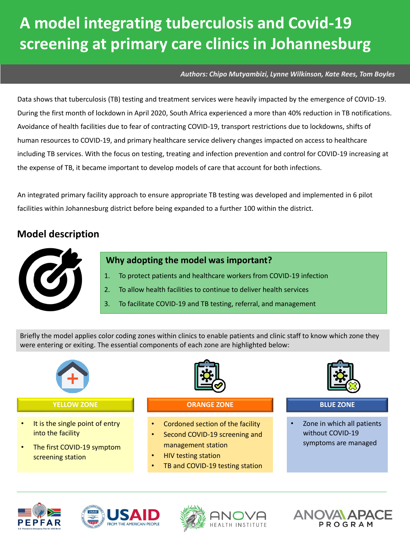#### *Authors: Chipo Mutyambizi, Lynne Wilkinson, Kate Rees, Tom Boyles*

Data shows that tuberculosis (TB) testing and treatment services were heavily impacted by the emergence of COVID-19. During the first month of lockdown in April 2020, South Africa experienced a more than 40% reduction in TB notifications. Avoidance of health facilities due to fear of contracting COVID-19, transport restrictions due to lockdowns, shifts of human resources to COVID-19, and primary healthcare service delivery changes impacted on access to healthcare including TB services. With the focus on testing, treating and infection prevention and control for COVID-19 increasing at the expense of TB, it became important to develop models of care that account for both infections.

An integrated primary facility approach to ensure appropriate TB testing was developed and implemented in 6 pilot facilities within Johannesburg district before being expanded to a further 100 within the district.

### **Model description**



#### **Why adopting the model was important?**

- 1. To protect patients and healthcare workers from COVID-19 infection
- 2. To allow health facilities to continue to deliver health services
- 3. To facilitate COVID-19 and TB testing, referral, and management

Briefly the model applies color coding zones within clinics to enable patients and clinic staff to know which zone they were entering or exiting. The essential components of each zone are highlighted below:









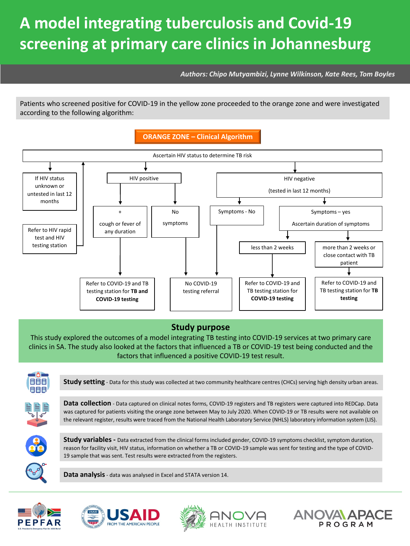*Authors: Chipo Mutyambizi, Lynne Wilkinson, Kate Rees, Tom Boyles*

Patients who screened positive for COVID-19 in the yellow zone proceeded to the orange zone and were investigated according to the following algorithm:



### **Study purpose**

This study explored the outcomes of a model integrating TB testing into COVID-19 services at two primary care clinics in SA. The study also looked at the factors that influenced a TB or COVID-19 test being conducted and the factors that influenced a positive COVID-19 test result.









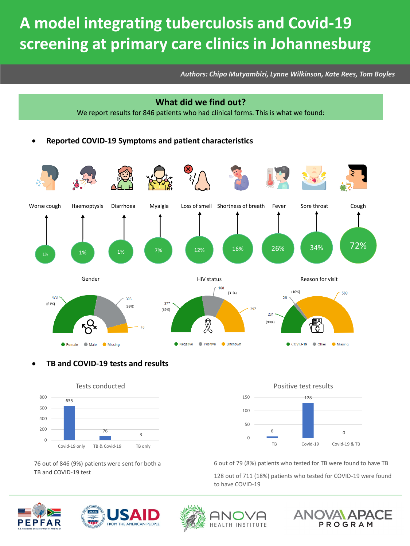*Authors: Chipo Mutyambizi, Lynne Wilkinson, Kate Rees, Tom Boyles*

# **What did we find out?** We report results for 846 patients who had clinical forms. This is what we found:

• **Reported COVID-19 Symptoms and patient characteristics**



### • **TB and COVID-19 tests and results**



76 out of 846 (9%) patients were sent for both a TB and COVID-19 test

Positive test results



6 out of 79 (8%) patients who tested for TB were found to have TB

128 out of 711 (18%) patients who tested for COVID-19 were found to have COVID-19